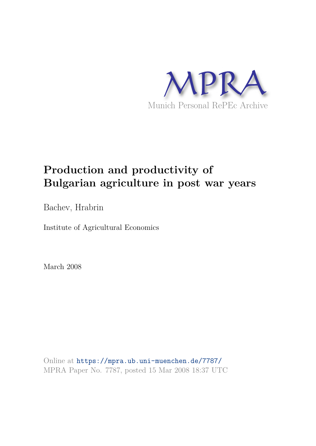

# **Production and productivity of Bulgarian agriculture in post war years**

Bachev, Hrabrin

Institute of Agricultural Economics

March 2008

Online at https://mpra.ub.uni-muenchen.de/7787/ MPRA Paper No. 7787, posted 15 Mar 2008 18:37 UTC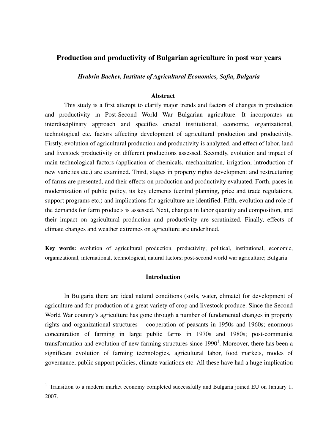## **Production and productivity of Bulgarian agriculture in post war years**

*Hrabrin Bachev, Institute of Agricultural Economics, Sofia, Bulgaria* 

## **Abstract**

This study is a first attempt to clarify major trends and factors of changes in production and productivity in Post-Second World War Bulgarian agriculture. It incorporates an interdisciplinary approach and specifies crucial institutional, economic, organizational, technological etc. factors affecting development of agricultural production and productivity. Firstly, evolution of agricultural production and productivity is analyzed, and effect of labor, land and livestock productivity on different productions assessed. Secondly, evolution and impact of main technological factors (application of chemicals, mechanization, irrigation, introduction of new varieties etc.) are examined. Third, stages in property rights development and restructuring of farms are presented, and their effects on production and productivity evaluated. Forth, paces in modernization of public policy, its key elements (central planning, price and trade regulations, support programs etc.) and implications for agriculture are identified. Fifth, evolution and role of the demands for farm products is assessed. Next, changes in labor quantity and composition, and their impact on agricultural production and productivity are scrutinized. Finally, effects of climate changes and weather extremes on agriculture are underlined.

**Key words:** evolution of agricultural production, productivity; political, institutional, economic, organizational, international, technological, natural factors; post-second world war agriculture; Bulgaria

## **Introduction**

In Bulgaria there are ideal natural conditions (soils, water, climate) for development of agriculture and for production of a great variety of crop and livestock produce. Since the Second World War country's agriculture has gone through a number of fundamental changes in property rights and organizational structures – cooperation of peasants in 1950s and 1960s; enormous concentration of farming in large public farms in 1970s and 1980s; post-communist transformation and evolution of new farming structures since  $1990<sup>1</sup>$ . Moreover, there has been a significant evolution of farming technologies, agricultural labor, food markets, modes of governance, public support policies, climate variations etc. All these have had a huge implication

<sup>&</sup>lt;sup>1</sup> Transition to a modern market economy completed successfully and Bulgaria joined EU on January 1, 2007.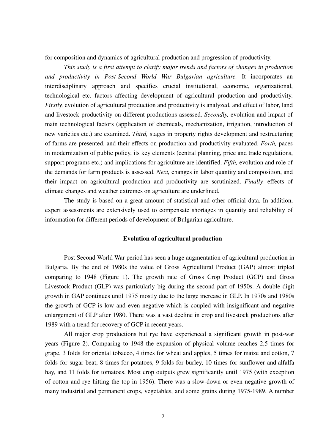for composition and dynamics of agricultural production and progression of productivity.

*This study is a first attempt to clarify major trends and factors of changes in production and productivity in Post-Second World War Bulgarian agriculture.* It incorporates an interdisciplinary approach and specifies crucial institutional, economic, organizational, technological etc. factors affecting development of agricultural production and productivity. *Firstly,* evolution of agricultural production and productivity is analyzed, and effect of labor, land and livestock productivity on different productions assessed. *Secondly,* evolution and impact of main technological factors (application of chemicals, mechanization, irrigation, introduction of new varieties etc.) are examined. *Third,* stages in property rights development and restructuring of farms are presented, and their effects on production and productivity evaluated. *Forth,* paces in modernization of public policy, its key elements (central planning, price and trade regulations, support programs etc.) and implications for agriculture are identified. *Fifth,* evolution and role of the demands for farm products is assessed. *Next,* changes in labor quantity and composition, and their impact on agricultural production and productivity are scrutinized. *Finally,* effects of climate changes and weather extremes on agriculture are underlined.

The study is based on a great amount of statistical and other official data. In addition, expert assessments are extensively used to compensate shortages in quantity and reliability of information for different periods of development of Bulgarian agriculture.

## **Evolution of agricultural production**

Post Second World War period has seen a huge augmentation of agricultural production in Bulgaria. By the end of 1980s the value of Gross Agricultural Product (GAP) almost tripled comparing to 1948 (Figure 1). The growth rate of Gross Crop Product (GCP) and Gross Livestock Product (GLP) was particularly big during the second part of 1950s. A double digit growth in GAP continues until 1975 mostly due to the large increase in GLP. In 1970s and 1980s the growth of GCP is low and even negative which is coupled with insignificant and negative enlargement of GLP after 1980. There was a vast decline in crop and livestock productions after 1989 with a trend for recovery of GCP in recent years.

All major crop productions but rye have experienced a significant growth in post-war years (Figure 2). Comparing to 1948 the expansion of physical volume reaches 2,5 times for grape, 3 folds for oriental tobacco, 4 times for wheat and apples, 5 times for maize and cotton, 7 folds for sugar beat, 8 times for potatoes, 9 folds for burley, 10 times for sunflower and alfalfa hay, and 11 folds for tomatoes. Most crop outputs grew significantly until 1975 (with exception of cotton and rye hitting the top in 1956). There was a slow-down or even negative growth of many industrial and permanent crops, vegetables, and some grains during 1975-1989. A number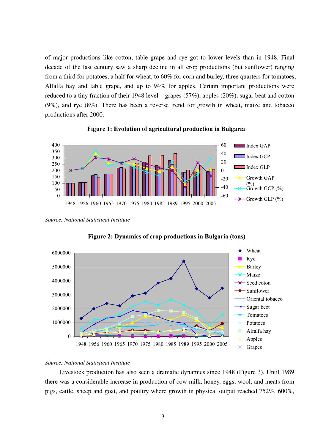of major productions like cotton, table grape and rye got to lower levels than in 1948. Final decade of the last century saw a sharp decline in all crop productions (but sunflower) ranging from a third for potatoes, a half for wheat, to 60% for corn and burley, three quarters for tomatoes, Alfalfa hay and table grape, and up to 94% for apples. Certain important productions were reduced to a tiny fraction of their 1948 level – grapes (57%), apples (20%), sugar beat and cotton (9%), and rye (8%). There has been a reverse trend for growth in wheat, maize and tobacco productions after 2000.



**Figure 1: Evolution of agricultural production in Bulgaria**

*Source: National Statistical Institute* 



**Figure 2: Dynamics of crop productions in Bulgaria (tons)**

## *Source: National Statistical Institute*

Livestock production has also seen a dramatic dynamics since 1948 (Figure 3). Until 1989 there was a considerable increase in production of cow milk, honey, eggs, wool, and meats from pigs, cattle, sheep and goat, and poultry where growth in physical output reached 752%, 600%,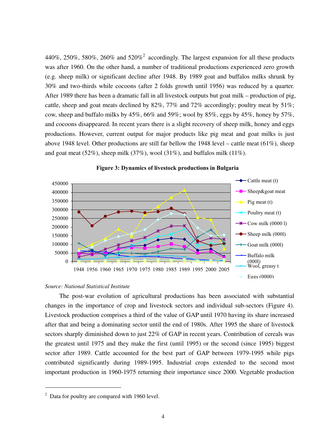440%, 250%, 580%, 260% and 520%<sup>2</sup> accordingly. The largest expansion for all these products was after 1960. On the other hand, a number of traditional productions experienced zero growth (e.g. sheep milk) or significant decline after 1948. By 1989 goat and buffalos milks shrunk by 30% and two-thirds while cocoons (after 2 folds growth until 1956) was reduced by a quarter. After 1989 there has been a dramatic fall in all livestock outputs but goat milk – production of pig, cattle, sheep and goat meats declined by  $82\%$ ,  $77\%$  and  $72\%$  accordingly; poultry meat by  $51\%$ ; cow, sheep and buffalo milks by 45%, 66% and 59%; wool by 85%, eggs by 45%, honey by 57%, and cocoons disappeared. In recent years there is a slight recovery of sheep milk, honey and eggs productions. However, current output for major products like pig meat and goat milks is just above 1948 level. Other productions are still far bellow the 1948 level – cattle meat  $(61\%)$ , sheep and goat meat (52%), sheep milk (37%), wool (31%), and buffalos milk (11%).





### *Source: National Statistical Institute*

The post-war evolution of agricultural productions has been associated with substantial changes in the importance of crop and livestock sectors and individual sub-sectors (Figure 4). Livestock production comprises a third of the value of GAP until 1970 having its share increased after that and being a dominating sector until the end of 1980s. After 1995 the share of livestock sectors sharply diminished down to just 22% of GAP in recent years. Contribution of cereals was the greatest until 1975 and they make the first (until 1995) or the second (since 1995) biggest sector after 1989. Cattle accounted for the best part of GAP between 1979-1995 while pigs contributed significantly during 1989-1995. Industrial crops extended to the second most important production in 1960-1975 returning their importance since 2000. Vegetable production

 $2$  Data for poultry are compared with 1960 level.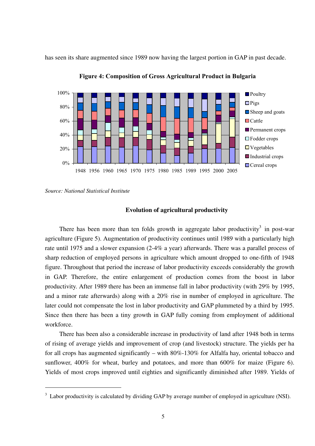has seen its share augmented since 1989 now having the largest portion in GAP in past decade.



**Figure 4: Composition of Gross Agricultural Product in Bulgaria**

## **Evolution of agricultural productivity**

There has been more than ten folds growth in aggregate labor productivity<sup>3</sup> in post-war agriculture (Figure 5). Augmentation of productivity continues until 1989 with a particularly high rate until 1975 and a slower expansion (2-4% a year) afterwards. There was a parallel process of sharp reduction of employed persons in agriculture which amount dropped to one-fifth of 1948 figure. Throughout that period the increase of labor productivity exceeds considerably the growth in GAP. Therefore, the entire enlargement of production comes from the boost in labor productivity. After 1989 there has been an immense fall in labor productivity (with 29% by 1995, and a minor rate afterwards) along with a 20% rise in number of employed in agriculture. The later could not compensate the lost in labor productivity and GAP plummeted by a third by 1995. Since then there has been a tiny growth in GAP fully coming from employment of additional workforce.

There has been also a considerable increase in productivity of land after 1948 both in terms of rising of average yields and improvement of crop (and livestock) structure. The yields per ha for all crops has augmented significantly – with 80%-130% for Alfalfa hay, oriental tobacco and sunflower, 400% for wheat, burley and potatoes, and more than 600% for maize (Figure 6). Yields of most crops improved until eighties and significantly diminished after 1989. Yields of

*Source: National Statistical Institute* 

 $3$  Labor productivity is calculated by dividing GAP by average number of employed in agriculture (NSI).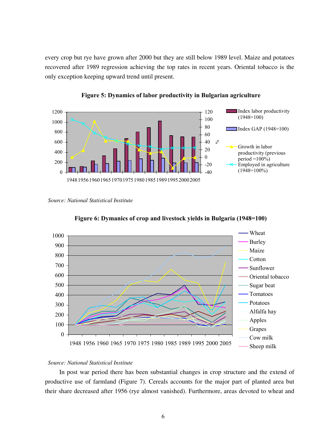every crop but rye have grown after 2000 but they are still below 1989 level. Maize and potatoes recovered after 1989 regression achieving the top rates in recent years. Oriental tobacco is the only exception keeping upward trend until present.





*Source: National Statistical Institute*





## *Source: National Statistical Institute*

In post war period there has been substantial changes in crop structure and the extend of productive use of farmland (Figure 7). Cereals accounts for the major part of planted area but their share decreased after 1956 (rye almost vanished). Furthermore, areas devoted to wheat and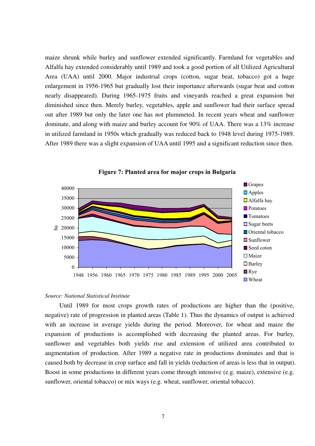maize shrunk while burley and sunflower extended significantly. Farmland for vegetables and Alfalfa hay extended considerably until 1989 and took a good portion of all Utilized Agricultural Area (UAA) until 2000. Major industrial crops (cotton, sugar beat, tobacco) got a huge enlargement in 1956-1965 but gradually lost their importance afterwards (sugar beat and cotton nearly disappeared). During 1965-1975 fruits and vineyards reached a great expansion but diminished since then. Merely burley, vegetables, apple and sunflower had their surface spread out after 1989 but only the later one has not plummeted. In recent years wheat and sunflower dominate, and along with maize and burley account for 90% of UAA. There was a 13% increase in utilized farmland in 1950s which gradually was reduced back to 1948 level during 1975-1989. After 1989 there was a slight expansion of UAA until 1995 and a significant reduction since then.



**Figure 7: Planted area for major crops in Bulgaria**

#### *Source: National Statistical Institute*

Until 1989 for most crops growth rates of productions are higher than the (positive, negative) rate of progression in planted areas (Table 1). Thus the dynamics of output is achieved with an increase in average yields during the period. Moreover, for wheat and maize the expansion of productions is accomplished with decreasing the planted areas. For burley, sunflower and vegetables both yields rise and extension of utilized area contributed to augmentation of production. After 1989 a negative rate in productions dominates and that is caused both by decrease in crop surface and fall in yields (reduction of areas is less that in output). Boost in some productions in different years come through intensive (e.g. maize), extensive (e.g. sunflower, oriental tobacco) or mix ways (e.g. wheat, sunflower, oriental tobacco).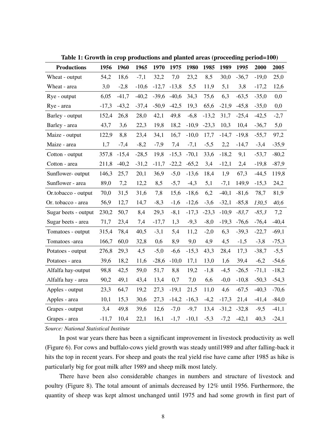| <b>Productions</b>   | 1956    | 1960    | 1965    | 1970    | 1975    | 1980    | 1985    | 1989    | 1995    | 2000    | 2005    |
|----------------------|---------|---------|---------|---------|---------|---------|---------|---------|---------|---------|---------|
| Wheat - output       | 54,2    | 18,6    | $-7,1$  | 32,2    | 7,0     | 23,2    | 8,5     | 30,0    | $-36,7$ | $-19,0$ | 25,0    |
| Wheat - area         | 3,0     | $-2,8$  | $-10,6$ | $-12,7$ | $-13,8$ | 5,5     | 11,9    | 5,1     | 3,8     | $-17,2$ | 12,6    |
| Rye - output         | 6,05    | $-41,7$ | $-40,2$ | $-39,6$ | $-40,6$ | 34,3    | 75,6    | 6,3     | $-63,5$ | $-35,0$ | 0,0     |
| Rye - area           | $-17,3$ | $-43,2$ | $-37,4$ | $-50,9$ | $-42,5$ | 19,3    | 65,6    | $-21,9$ | $-45,8$ | $-35,0$ | 0,0     |
| Barley - output      | 152,4   | 26,8    | 28,0    | 42,1    | 49,8    | $-6,8$  | $-13,2$ | 31,7    | $-25,4$ | $-42,5$ | $-2,7$  |
| Barley - area        | 43,7    | 3,6     | 22,3    | 19,8    | 18,2    | $-10,9$ | $-23,3$ | 10,3    | 10,4    | $-36,7$ | 5,0     |
| Maize - output       | 122,9   | 8,8     | 23,4    | 34,1    | 16,7    | $-10,0$ | 17,7    | $-14,7$ | $-19,8$ | $-55,7$ | 97,2    |
| Maize - area         | 1,7     | $-7,4$  | $-8,2$  | $-7,9$  | 7,4     | $-7,1$  | $-5,5$  | 2,2     | $-14,7$ | $-3,4$  | $-35,9$ |
| Cotton - output      | 357,8   | $-15,4$ | $-28,5$ | 19,8    | $-15,3$ | $-70,1$ | 33,6    | $-18,2$ | 9,1     | $-53,7$ | $-80,2$ |
| Cotton - area        | 211,8   | $-40,2$ | $-31,2$ | $-11,7$ | $-22,2$ | $-65,2$ | 3,4     | $-12,1$ | 2,4     | $-19,8$ | $-87,9$ |
| Sunflower-output     | 146,3   | 25,7    | 20,1    | 36,9    | $-5,0$  | $-13,6$ | 18,4    | 1,9     | 67,3    | $-44,5$ | 119,8   |
| Sunflower - area     | 89,0    | 7,2     | 12,2    | 8,5     | $-5,7$  | $-4,3$  | 5,1     | $-7,1$  | 149,9   | $-15,3$ | 24,2    |
| Or.tobacco - output  | 70,0    | 31,5    | 31,6    | 7,8     | 15,6    | $-18,6$ | 6,2     | $-40,1$ | $-81,6$ | 78,7    | 81,9    |
| Or. tobacco - area   | 56,9    | 12,7    | 14,7    | $-8,3$  | $-1,6$  | $-12,6$ | $-3,6$  | $-32,1$ | $-85,8$ | 130,5   | 40,6    |
| Sugar beets - output | 230,2   | 50,7    | 8,4     | 29,3    | $-8,1$  | $-17,3$ | $-23,3$ | $-10,9$ | $-83,7$ | $-85,3$ | 7,2     |
| Sugar beets - area   | 71,7    | 23,4    | 7,4     | $-17,7$ | 1,3     | $-9,3$  | $-8,0$  | $-19,3$ | $-76,6$ | $-76,4$ | $-40,4$ |
| Tomatoes - output    | 315,4   | 78,4    | 40,5    | $-3,1$  | 5,4     | 11,2    | $-2,0$  | 6,3     | $-39,3$ | $-22,7$ | $-69,1$ |
| Tomatoes -area       | 166,7   | 60,0    | 32,8    | 0,6     | 8,9     | 9,0     | 4,9     | 4,5     | $-1,5$  | $-3,8$  | $-75,3$ |
| Potatoes - output    | 276,8   | 29,3    | 4,5     | $-5,0$  | $-6,6$  | $-15,3$ | 43,3    | 28,4    | 17,3    | $-38,7$ | $-5,5$  |
| Potatoes - area      | 39,6    | 18,2    | 11,6    | $-28,6$ | $-10,0$ | 17,1    | 13,0    | 1,6     | 39,4    | $-6,2$  | $-54,6$ |
| Alfalfa hay-output   | 98,8    | 42,5    | 59,0    | 51,7    | 8,8     | 19,2    | $-1,8$  | $-4,5$  | $-26,5$ | $-71,1$ | $-18,2$ |
| Alfalfa hay - area   | 90,2    | 49,1    | 43,4    | 13,4    | 0,7     | 7,0     | 6,6     | $-0,0$  | $-10,8$ | $-50,3$ | $-54,3$ |
| Apples - output      | 23,3    | 64,7    | 19,2    | 27,3    | $-19,1$ | 21,5    | 11,0    | 4,6     | $-67,5$ | $-40,3$ | $-70,6$ |
| Apples - area        | 10,1    | 15,3    | 30,6    | 27,3    | $-14,2$ | $-16,3$ | $-4,2$  | $-17,3$ | 21,4    | $-41,4$ | $-84,0$ |
| Grapes - output      | 3,4     | 49,8    | 39,6    | 12,6    | $-7,0$  | $-9,7$  | 13,4    | $-31,2$ | $-32,8$ | $-9,5$  | $-41,1$ |
| Grapes - area        | $-11,7$ | 10,4    | 22,1    | 16,1    | $-1,7$  | $-10,1$ | $-5,3$  | $-7,2$  | $-42,1$ | 40,3    | $-24,1$ |

**Table 1: Growth in crop productions and planted areas (proceeding period=100)** 

## *Source: National Statistical Institute*

In post war years there has been a significant improvement in livestock productivity as well (Figure 6). For cows and buffalo-cows yield growth was steady until1989 and after falling-back it hits the top in recent years. For sheep and goats the real yield rise have came after 1985 as hike is particularly big for goat milk after 1989 and sheep milk most lately.

There have been also considerable changes in numbers and structure of livestock and poultry (Figure 8). The total amount of animals decreased by 12% until 1956. Furthermore, the quantity of sheep was kept almost unchanged until 1975 and had some growth in first part of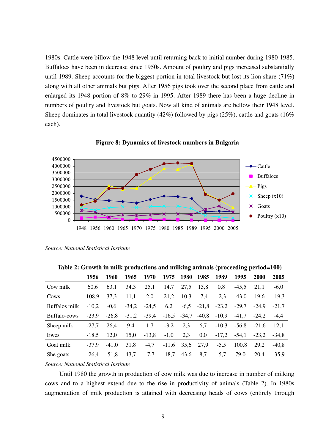1980s. Cattle were billow the 1948 level until returning back to initial number during 1980-1985. Buffaloes have been in decrease since 1950s. Amount of poultry and pigs increased substantially until 1989. Sheep accounts for the biggest portion in total livestock but lost its lion share (71%) along with all other animals but pigs. After 1956 pigs took over the second place from cattle and enlarged its 1948 portion of 8% to 29% in 1995. After 1989 there has been a huge decline in numbers of poultry and livestock but goats. Now all kind of animals are bellow their 1948 level. Sheep dominates in total livestock quantity (42%) followed by pigs (25%), cattle and goats (16%) each).



**Figure 8: Dynamics of livestock numbers in Bulgaria**

|  | Source: National Statistical Institute |
|--|----------------------------------------|
|--|----------------------------------------|

**Table 2: Growth in milk productions and milking animals (proceeding period=100)** 

|               | 1956    | 1960    | 1965    | 1970    | 1975    | <b>1980</b> | 1985    | 1989    | 1995    | <b>2000</b> | 2005    |
|---------------|---------|---------|---------|---------|---------|-------------|---------|---------|---------|-------------|---------|
| Cow milk      | 60,6    | 63,1    | 34,3    | 25,1    | 14,7    | 27,5        | 15,8    | 0,8     | $-45,5$ | 21.1        | $-6,0$  |
| Cows          | 108,9   | 37,3    | 11,1    | 2,0     | 21,2    | 10,3        | $-7,4$  | $-2,3$  | $-43,0$ | 19.6        | $-19,3$ |
| Buffalos milk | $-10,2$ | $-0,6$  | $-34,2$ | $-24,5$ | 6,2     | $-6,5$      | $-21,8$ | $-23,2$ | $-29,7$ | $-24.9$     | $-21,7$ |
| Buffalo-cows  | $-23,9$ | $-26.8$ | $-31,2$ | $-39,4$ | $-16,5$ | $-34,7$     | $-40,8$ | $-10,9$ | $-41,7$ | $-24,2$     | $-4,4$  |
| Sheep milk    | $-27,7$ | 26.4    | 9,4     | 1,7     | $-3,2$  | 2,3         | 6,7     | $-10,3$ | $-56,8$ | $-21.6$     | 12,1    |
| Ewes          | $-18,5$ | 12,0    | 15,0    | $-13,8$ | $-1,0$  | 2,3         | 0,0     | $-17,2$ | $-54,1$ | $-23,2$     | $-34.8$ |
| Goat milk     | $-37.9$ | $-41,0$ | 31,8    | $-4,7$  | $-11,6$ | 35,6        | 27,9    | $-5,5$  | 100,8   | 29,2        | $-40,8$ |
| She goats     | $-26,4$ | $-51.8$ | 43,7    | $-7,7$  | $-18,7$ | 43,6        | 8,7     | $-5,7$  | 79,0    | 20,4        | $-35,9$ |

*Source: National Statistical Institute* 

Until 1980 the growth in production of cow milk was due to increase in number of milking cows and to a highest extend due to the rise in productivity of animals (Table 2). In 1980s augmentation of milk production is attained with decreasing heads of cows (entirely through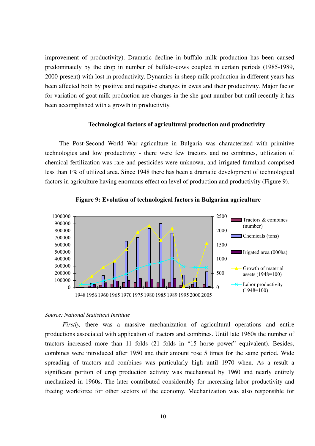improvement of productivity). Dramatic decline in buffalo milk production has been caused predominately by the drop in number of buffalo-cows coupled in certain periods (1985-1989, 2000-present) with lost in productivity. Dynamics in sheep milk production in different years has been affected both by positive and negative changes in ewes and their productivity. Major factor for variation of goat milk production are changes in the she-goat number but until recently it has been accomplished with a growth in productivity.

## **Technological factors of agricultural production and productivity**

The Post-Second World War agriculture in Bulgaria was characterized with primitive technologies and low productivity - there were few tractors and no combines, utilization of chemical fertilization was rare and pesticides were unknown, and irrigated farmland comprised less than 1% of utilized area. Since 1948 there has been a dramatic development of technological factors in agriculture having enormous effect on level of production and productivity (Figure 9).





#### *Source: National Statistical Institute*

 *Firstly,* there was a massive mechanization of agricultural operations and entire productions associated with application of tractors and combines. Until late 1960s the number of tractors increased more than 11 folds (21 folds in "15 horse power" equivalent). Besides, combines were introduced after 1950 and their amount rose 5 times for the same period. Wide spreading of tractors and combines was particularly high until 1970 when. As a result a significant portion of crop production activity was mechansied by 1960 and nearly entirely mechanized in 1960s. The later contributed considerably for increasing labor productivity and freeing workforce for other sectors of the economy. Mechanization was also responsible for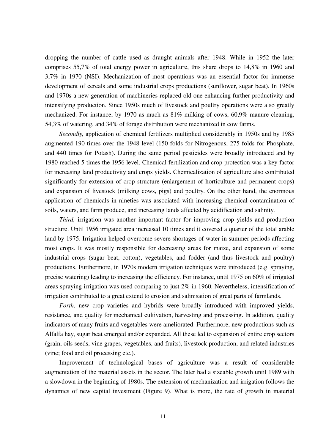dropping the number of cattle used as draught animals after 1948. While in 1952 the later comprises 55,7% of total energy power in agriculture, this share drops to 14,8% in 1960 and 3,7% in 1970 (NSI). Mechanization of most operations was an essential factor for immense development of cereals and some industrial crops productions (sunflower, sugar beat). In 1960s and 1970s a new generation of machineries replaced old one enhancing further productivity and intensifying production. Since 1950s much of livestock and poultry operations were also greatly mechanized. For instance, by 1970 as much as 81% milking of cows, 60,9% manure cleaning, 54,3% of watering, and 34% of forage distribution were mechanized in cow farms.

*Secondly,* application of chemical fertilizers multiplied considerably in 1950s and by 1985 augmented 190 times over the 1948 level (150 folds for Nitrogenous, 275 folds for Phosphate, and 440 times for Potash). During the same period pesticides were broadly introduced and by 1980 reached 5 times the 1956 level. Chemical fertilization and crop protection was a key factor for increasing land productivity and crops yields. Chemicalization of agriculture also contributed significantly for extension of crop structure (enlargement of horticulture and permanent crops) and expansion of livestock (milking cows, pigs) and poultry. On the other hand, the enormous application of chemicals in nineties was associated with increasing chemical contamination of soils, waters, and farm produce, and increasing lands affected by acidification and salinity.

*Third,* irrigation was another important factor for improving crop yields and production structure. Until 1956 irrigated area increased 10 times and it covered a quarter of the total arable land by 1975. Irrigation helped overcome severe shortages of water in summer periods affecting most crops. It was mostly responsible for decreasing areas for maize, and expansion of some industrial crops (sugar beat, cotton), vegetables, and fodder (and thus livestock and poultry) productions. Furthermore, in 1970s modern irrigation techniques were introduced (e.g. spraying, precise watering) leading to increasing the efficiency. For instance, until 1975 on 60% of irrigated areas spraying irrigation was used comparing to just 2% in 1960. Nevertheless, intensification of irrigation contributed to a great extend to erosion and salinisation of great parts of farmlands.

*Forth*, new crop varieties and hybrids were broadly introduced with improved yields, resistance, and quality for mechanical cultivation, harvesting and processing. In addition, quality indicators of many fruits and vegetables were ameliorated. Furthermore, new productions such as Alfalfa hay, sugar beat emerged and/or expanded. All these led to expansion of entire crop sectors (grain, oils seeds, vine grapes, vegetables, and fruits), livestock production, and related industries (vine; food and oil processing etc.).

Improvement of technological bases of agriculture was a result of considerable augmentation of the material assets in the sector. The later had a sizeable growth until 1989 with a slowdown in the beginning of 1980s. The extension of mechanization and irrigation follows the dynamics of new capital investment (Figure 9). What is more, the rate of growth in material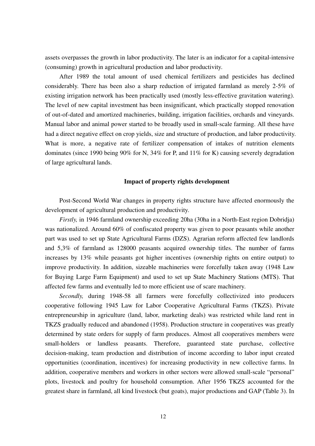assets overpasses the growth in labor productivity. The later is an indicator for a capital-intensive (consuming) growth in agricultural production and labor productivity.

After 1989 the total amount of used chemical fertilizers and pesticides has declined considerably. There has been also a sharp reduction of irrigated farmland as merely 2-5% of existing irrigation network has been practically used (mostly less-effective gravitation watering). The level of new capital investment has been insignificant, which practically stopped renovation of out-of-dated and amortized machineries, building, irrigation facilities, orchards and vineyards. Manual labor and animal power started to be broadly used in small-scale farming. All these have had a direct negative effect on crop yields, size and structure of production, and labor productivity. What is more, a negative rate of fertilizer compensation of intakes of nutrition elements dominates (since 1990 being 90% for N, 34% for P, and 11% for K) causing severely degradation of large agricultural lands.

#### **Impact of property rights development**

Post-Second World War changes in property rights structure have affected enormously the development of agricultural production and productivity.

*Firstly,* in 1946 farmland ownership exceeding 20ha (30ha in a North-East region Dobridja) was nationalized. Around 60% of confiscated property was given to poor peasants while another part was used to set up State Agricultural Farms (DZS). Agrarian reform affected few landlords and 5,3% of farmland as 128000 peasants acquired ownership titles. The number of farms increases by 13% while peasants got higher incentives (ownership rights on entire output) to improve productivity. In addition, sizeable machineries were forcefully taken away (1948 Law for Buying Large Farm Equipment) and used to set up State Machinery Stations (MTS). That affected few farms and eventually led to more efficient use of scare machinery.

*Secondly,* during 1948-58 all farmers were forcefully collectivized into producers cooperative following 1945 Law for Labor Cooperative Agricultural Farms (TKZS). Private entrepreneurship in agriculture (land, labor, marketing deals) was restricted while land rent in TKZS gradually reduced and abandoned (1958). Production structure in cooperatives was greatly determined by state orders for supply of farm produces. Almost all cooperatives members were small-holders or landless peasants. Therefore, guaranteed state purchase, collective decision-making, team production and distribution of income according to labor input created opportunities (coordination, incentives) for increasing productivity in new collective farms. In addition, cooperative members and workers in other sectors were allowed small-scale "personal" plots, livestock and poultry for household consumption. After 1956 TKZS accounted for the greatest share in farmland, all kind livestock (but goats), major productions and GAP (Table 3). In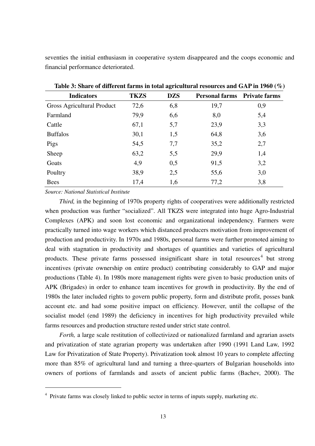seventies the initial enthusiasm in cooperative system disappeared and the coops economic and financial performance deteriorated.

| <b>Indicators</b>          | <b>TKZS</b> | <b>DZS</b> | <b>Personal farms</b> Private farms |     |
|----------------------------|-------------|------------|-------------------------------------|-----|
| Gross Agricultural Product | 72,6        | 6,8        | 19,7                                | 0,9 |
| Farmland                   | 79,9        | 6,6        | 8,0                                 | 5,4 |
| Cattle                     | 67,1        | 5,7        | 23,9                                | 3,3 |
| <b>Buffalos</b>            | 30,1        | 1,5        | 64,8                                | 3,6 |
| Pigs                       | 54,5        | 7,7        | 35,2                                | 2,7 |
| Sheep                      | 63,2        | 5,5        | 29,9                                | 1,4 |
| Goats                      | 4,9         | 0,5        | 91,5                                | 3,2 |
| Poultry                    | 38,9        | 2,5        | 55,6                                | 3,0 |
| <b>Bees</b>                | 17,4        | 1,6        | 77,2                                | 3,8 |

**Table 3: Share of different farms in total agricultural resources and GAP in 1960 (%)** 

*Source: National Statistical Institute*

*Third*, in the beginning of 1970s property rights of cooperatives were additionally restricted when production was further "socialized". All TKZS were integrated into huge Agro-Industrial Complexes (APK) and soon lost economic and organizational independency. Farmers were practically turned into wage workers which distanced producers motivation from improvement of production and productivity. In 1970s and 1980s, personal farms were further promoted aiming to deal with stagnation in productivity and shortages of quantities and varieties of agricultural products. These private farms possessed insignificant share in total resources<sup>4</sup> but strong incentives (private ownership on entire product) contributing considerably to GAP and major productions (Table 4). In 1980s more management rights were given to basic production units of APK (Brigades) in order to enhance team incentives for growth in productivity. By the end of 1980s the later included rights to govern public property, form and distribute profit, posses bank account etc. and had some positive impact on efficiency. However, until the collapse of the socialist model (end 1989) the deficiency in incentives for high productivity prevailed while farms resources and production structure rested under strict state control.

*Forth*, a large scale restitution of collectivized or nationalized farmland and agrarian assets and privatization of state agrarian property was undertaken after 1990 (1991 Land Law, 1992 Law for Privatization of State Property). Privatization took almost 10 years to complete affecting more than 85% of agricultural land and turning a three-quarters of Bulgarian households into owners of portions of farmlands and assets of ancient public farms (Bachev, 2000). The

<sup>&</sup>lt;sup>4</sup> Private farms was closely linked to public sector in terms of inputs supply, marketing etc.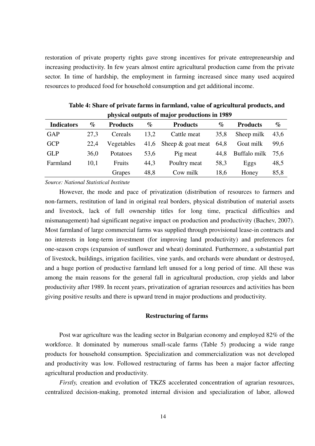restoration of private property rights gave strong incentives for private entrepreneurship and increasing productivity. In few years almost entire agricultural production came from the private sector. In time of hardship, the employment in farming increased since many used acquired resources to produced food for household consumption and get additional income.

| <b>Indicators</b> | %    | <b>Products</b> | $\%$ | <b>Products</b>        | $\%$ | <b>Products</b> | $\%$ |
|-------------------|------|-----------------|------|------------------------|------|-----------------|------|
| <b>GAP</b>        | 27.3 | Cereals         | 13,2 | Cattle meat            | 35,8 | Sheep milk      | 43,6 |
| <b>GCP</b>        | 22,4 | Vegetables      |      | 41,6 Sheep & goat meat | 64,8 | Goat milk       | 99,6 |
| <b>GLP</b>        | 36,0 | Potatoes        | 53,6 | Pig meat               | 44,8 | Buffalo milk    | 75,6 |
| Farmland          | 10,1 | Fruits          | 44,3 | Poultry meat           | 58,3 | Eggs            | 48,5 |
|                   |      | Grapes          | 48,8 | Cow milk               | 18,6 | Honey           | 85,8 |

**Table 4: Share of private farms in farmland, value of agricultural products, and physical outputs of major productions in 1989** 

*Source: National Statistical Institute*

However, the mode and pace of privatization (distribution of resources to farmers and non-farmers, restitution of land in original real borders, physical distribution of material assets and livestock, lack of full ownership titles for long time, practical difficulties and mismanagement) had significant negative impact on production and productivity (Bachev, 2007). Most farmland of large commercial farms was supplied through provisional lease-in contracts and no interests in long-term investment (for improving land productivity) and preferences for one-season crops (expansion of sunflower and wheat) dominated. Furthermore, a substantial part of livestock, buildings, irrigation facilities, vine yards, and orchards were abundant or destroyed, and a huge portion of productive farmland left unused for a long period of time. All these was among the main reasons for the general fall in agricultural production, crop yields and labor productivity after 1989. In recent years, privatization of agrarian resources and activities has been giving positive results and there is upward trend in major productions and productivity.

## **Restructuring of farms**

Post war agriculture was the leading sector in Bulgarian economy and employed 82% of the workforce. It dominated by numerous small-scale farms (Table 5) producing a wide range products for household consumption. Specialization and commercialization was not developed and productivity was low. Followed restructuring of farms has been a major factor affecting agricultural production and productivity.

*Firstly, creation and evolution of TKZS accelerated concentration of agrarian resources,* centralized decision-making, promoted internal division and specialization of labor, allowed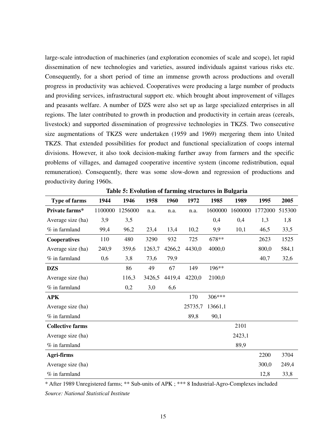large-scale introduction of machineries (and exploration economies of scale and scope), let rapid dissemination of new technologies and varieties, assured individuals against various risks etc. Consequently, for a short period of time an immense growth across productions and overall progress in productivity was achieved. Cooperatives were producing a large number of products and providing services, infrastructural support etc. which brought about improvement of villages and peasants welfare. A number of DZS were also set up as large specialized enterprises in all regions. The later contributed to growth in production and productivity in certain areas (cereals, livestock) and supported dissemination of progressive technologies in TKZS. Two consecutive size augmentations of TKZS were undertaken (1959 and 1969) mergering them into United TKZS. That extended possibilities for product and functional specialization of coops internal divisions. However, it also took decision-making further away from farmers and the specific problems of villages, and damaged cooperative incentive system (income redistribution, equal remuneration). Consequently, there was some slow-down and regression of productions and productivity during 1960s.

| <b>Type of farms</b>    | 1944    | 1946    | 1958   | 1960   | 1972    | 1985    | 1989    | 1995    | 2005   |
|-------------------------|---------|---------|--------|--------|---------|---------|---------|---------|--------|
| Private farms*          | 1100000 | 1256000 | n.a.   | n.a.   | n.a.    | 1600000 | 1600000 | 1772000 | 515300 |
| Average size (ha)       | 3,9     | 3,5     |        |        |         | 0,4     | 0,4     | 1,3     | 1,8    |
| $%$ in farmland         | 99,4    | 96,2    | 23,4   | 13,4   | 10,2    | 9,9     | 10,1    | 46,5    | 33,5   |
| <b>Cooperatives</b>     | 110     | 480     | 3290   | 932    | 725     | 678**   |         | 2623    | 1525   |
| Average size (ha)       | 240,9   | 359,6   | 1263,7 | 4266,2 | 4430,0  | 4000,0  |         | 800,0   | 584,1  |
| $%$ in farmland         | 0,6     | 3,8     | 73,6   | 79,9   |         |         |         | 40,7    | 32,6   |
| <b>DZS</b>              |         | 86      | 49     | 67     | 149     | 196**   |         |         |        |
| Average size (ha)       |         | 116,3   | 3426,5 | 4419,4 | 4220,0  | 2100,0  |         |         |        |
| $%$ in farmland         |         | 0,2     | 3,0    | 6,6    |         |         |         |         |        |
| <b>APK</b>              |         |         |        |        | 170     | 306***  |         |         |        |
| Average size (ha)       |         |         |        |        | 25735,7 | 13661,1 |         |         |        |
| $%$ in farmland         |         |         |        |        | 89,8    | 90,1    |         |         |        |
| <b>Collective farms</b> |         |         |        |        |         |         | 2101    |         |        |
| Average size (ha)       |         |         |        |        |         |         | 2423,1  |         |        |
| $%$ in farmland         |         |         |        |        |         |         | 89,9    |         |        |
| Agri-firms              |         |         |        |        |         |         |         | 2200    | 3704   |
| Average size (ha)       |         |         |        |        |         |         |         | 300,0   | 249,4  |
| $%$ in farmland         |         |         |        |        |         |         |         | 12,8    | 33,8   |

**Table 5: Evolution of farming structures in Bulgaria** 

\* After 1989 Unregistered farms; \*\* Sub-units of APK ; \*\*\* 8 Industrial-Agro-Complexes included *Source: National Statistical Institute*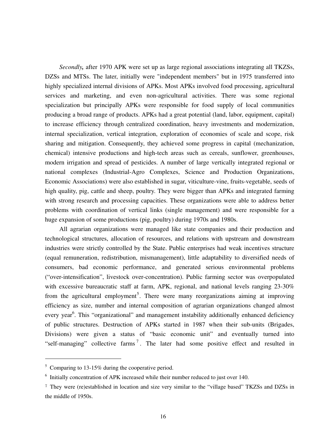*Secondly*, after 1970 APK were set up as large regional associations integrating all TKZSs, DZSs and MTSs. The later, initially were "independent members" but in 1975 transferred into highly specialized internal divisions of APKs. Most APKs involved food processing, agricultural services and marketing, and even non-agricultural activities. There was some regional specialization but principally APKs were responsible for food supply of local communities producing a broad range of products. APKs had a great potential (land, labor, equipment, capital) to increase efficiency through centralized coordination, heavy investments and modernization, internal specialization, vertical integration, exploration of economies of scale and scope, risk sharing and mitigation. Consequently, they achieved some progress in capital (mechanization, chemical) intensive productions and high-tech areas such as cereals, sunflower, greenhouses, modern irrigation and spread of pesticides. A number of large vertically integrated regional or national complexes (Industrial-Agro Complexes, Science and Production Organizations, Economic Associations) were also established in sugar, viticulture-vine, fruits-vegetable, seeds of high quality, pig, cattle and sheep, poultry. They were bigger than APKs and integrated farming with strong research and processing capacities. These organizations were able to address better problems with coordination of vertical links (single management) and were responsible for a huge expansion of some productions (pig, poultry) during 1970s and 1980s.

All agrarian organizations were managed like state companies and their production and technological structures, allocation of resources, and relations with upstream and downstream industries were strictly controlled by the State. Public enterprises had weak incentives structure (equal remuneration, redistribution, mismanagement), little adaptability to diversified needs of consumers, bad economic performance, and generated serious environmental problems ("over-intensification", livestock over-concentration). Public farming sector was overpopulated with excessive bureaucratic staff at farm, APK, regional, and national levels ranging 23-30% from the agricultural employment<sup>5</sup>. There were many reorganizations aiming at improving efficiency as size, number and internal composition of agrarian organizations changed almost every year<sup>6</sup>. This "organizational" and management instability additionally enhanced deficiency of public structures. Destruction of APKs started in 1987 when their sub-units (Brigades, Divisions) were given a status of "basic economic unit" and eventually turned into "self-managing" collective farms<sup>7</sup>. The later had some positive effect and resulted in

<sup>&</sup>lt;sup>5</sup> Comparing to 13-15% during the cooperative period.

<sup>&</sup>lt;sup>6</sup> Initially concentration of APK increased while their number reduced to just over 140.

<sup>7</sup> They were (re)established in location and size very similar to the "village based" TKZSs and DZSs in the middle of 1950s.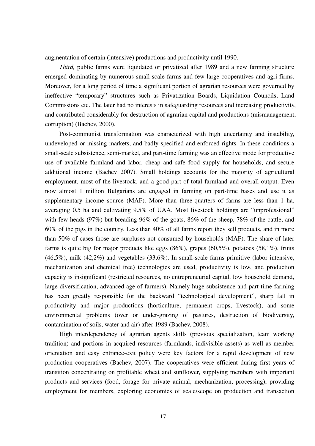augmentation of certain (intensive) productions and productivity until 1990.

*Third,* public farms were liquidated or privatized after 1989 and a new farming structure emerged dominating by numerous small-scale farms and few large cooperatives and agri-firms. Moreover, for a long period of time a significant portion of agrarian resources were governed by ineffective "temporary" structures such as Privatization Boards, Liquidation Councils, Land Commissions etc. The later had no interests in safeguarding resources and increasing productivity, and contributed considerably for destruction of agrarian capital and productions (mismanagement, corruption) (Bachev, 2000).

Post-communist transformation was characterized with high uncertainty and instability, undeveloped or missing markets, and badly specified and enforced rights. In these conditions a small-scale subsistence, semi-market, and part-time farming was an effective mode for productive use of available farmland and labor, cheap and safe food supply for households, and secure additional income (Bachev 2007). Small holdings accounts for the majority of agricultural employment, most of the livestock, and a good part of total farmland and overall output. Even now almost 1 million Bulgarians are engaged in farming on part-time bases and use it as supplementary income source (MAF). More than three-quarters of farms are less than 1 ha, averaging 0.5 ha and cultivating 9.5% of UAA. Most livestock holdings are "unprofessional" with few heads (97%) but breading 96% of the goats, 86% of the sheep, 78% of the cattle, and 60% of the pigs in the country. Less than 40% of all farms report they sell products, and in more than 50% of cases those are surpluses not consumed by households (MAF). The share of later farms is quite big for major products like eggs  $(86\%)$ , grapes  $(60,5\%)$ , potatoes  $(58,1\%)$ , fruits (46,5%), milk (42,2%) and vegetables (33,6%). In small-scale farms primitive (labor intensive, mechanization and chemical free) technologies are used, productivity is low, and production capacity is insignificant (restricted resources, no entrepreneurial capital, low household demand, large diversification, advanced age of farmers). Namely huge subsistence and part-time farming has been greatly responsible for the backward "technological development", sharp fall in productivity and major productions (horticulture, permanent crops, livestock), and some environmental problems (over or under-grazing of pastures, destruction of biodiversity, contamination of soils, water and air) after 1989 (Bachev, 2008).

High interdependency of agrarian agents skills (previous specialization, team working tradition) and portions in acquired resources (farmlands, indivisible assets) as well as member orientation and easy entrance-exit policy were key factors for a rapid development of new production cooperatives (Bachev, 2007). The cooperatives were efficient during first years of transition concentrating on profitable wheat and sunflower, supplying members with important products and services (food, forage for private animal, mechanization, processing), providing employment for members, exploring economies of scale/scope on production and transaction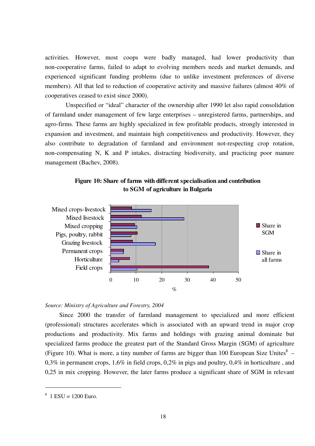activities. However, most coops were badly managed, had lower productivity than non-cooperative farms, failed to adapt to evolving members needs and market demands, and experienced significant funding problems (due to unlike investment preferences of diverse members). All that led to reduction of cooperative activity and massive failures (almost 40% of cooperatives ceased to exist since 2000).

 Unspecified or "ideal" character of the ownership after 1990 let also rapid consolidation of farmland under management of few large enterprises – unregistered farms, partnerships, and agro-firms. These farms are highly specialized in few profitable products, strongly interested in expansion and investment, and maintain high competitiveness and productivity. However, they also contribute to degradation of farmland and environment not-respecting crop rotation, non-compensating N, K and P intakes, distracting biodiversity, and practicing poor manure management (Bachev, 2008).



## **Figure 10: Share of farms with different specialisation and contribution to SGM of agriculture in Bulgaria**

## *Source: Ministry of Agriculture and Forestry, 2004*

Since 2000 the transfer of farmland management to specialized and more efficient (professional) structures accelerates which is associated with an upward trend in major crop productions and productivity. Mix farms and holdings with grazing animal dominate but specialized farms produce the greatest part of the Standard Gross Margin (SGM) of agriculture (Figure 10). What is more, a tiny number of farms are bigger than 100 European Size Unites $8 - 1$ 0,3% in permanent crops, 1,6% in field crops, 0,2% in pigs and poultry, 0,4% in horticulture , and 0,25 in mix cropping. However, the later farms produce a significant share of SGM in relevant

 $8 \text{ } 1 \text{ } ESU = 1200 \text{ } Euro.$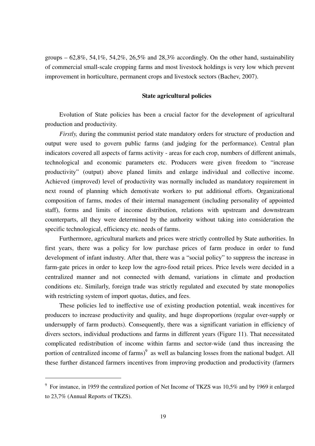groups  $-62.8\%$ , 54,1\%, 54,2\%, 26,5\% and 28,3\% accordingly. On the other hand, sustainability of commercial small-scale cropping farms and most livestock holdings is very low which prevent improvement in horticulture, permanent crops and livestock sectors (Bachev, 2007).

## **State agricultural policies**

Evolution of State policies has been a crucial factor for the development of agricultural production and productivity.

*Firstly,* during the communist period state mandatory orders for structure of production and output were used to govern public farms (and judging for the performance). Central plan indicators covered all aspects of farms activity - areas for each crop, numbers of different animals, technological and economic parameters etc. Producers were given freedom to "increase productivity" (output) above planed limits and enlarge individual and collective income. Achieved (improved) level of productivity was normally included as mandatory requirement in next round of planning which demotivate workers to put additional efforts. Organizational composition of farms, modes of their internal management (including personality of appointed staff), forms and limits of income distribution, relations with upstream and downstream counterparts, all they were determined by the authority without taking into consideration the specific technological, efficiency etc. needs of farms.

Furthermore, agricultural markets and prices were strictly controlled by State authorities. In first years, there was a policy for low purchase prices of farm produce in order to fund development of infant industry. After that, there was a "social policy" to suppress the increase in farm-gate prices in order to keep low the agro-food retail prices. Price levels were decided in a centralized manner and not connected with demand, variations in climate and production conditions etc. Similarly, foreign trade was strictly regulated and executed by state monopolies with restricting system of import quotas, duties, and fees.

These policies led to ineffective use of existing production potential, weak incentives for producers to increase productivity and quality, and huge disproportions (regular over-supply or undersupply of farm products). Consequently, there was a significant variation in efficiency of divers sectors, individual productions and farms in different years (Figure 11). That necessitated complicated redistribution of income within farms and sector-wide (and thus increasing the portion of centralized income of farms) $9$  as well as balancing losses from the national budget. All these further distanced farmers incentives from improving production and productivity (farmers

<sup>&</sup>lt;sup>9</sup> For instance, in 1959 the centralized portion of Net Income of TKZS was 10,5% and by 1969 it enlarged to 23,7% (Annual Reports of TKZS).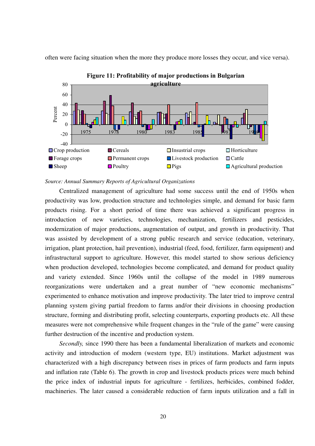often were facing situation when the more they produce more losses they occur, and vice versa).



**Figure 11: Profitability of major productions in Bulgarian** 

#### *Source: Annual Summary Reports of Agricultural Organizations*

Centralized management of agriculture had some success until the end of 1950s when productivity was low, production structure and technologies simple, and demand for basic farm products rising. For a short period of time there was achieved a significant progress in introduction of new varieties, technologies, mechanization, fertilizers and pesticides, modernization of major productions, augmentation of output, and growth in productivity. That was assisted by development of a strong public research and service (education, veterinary, irrigation, plant protection, hail prevention), industrial (feed, food, fertilizer, farm equipment) and infrastructural support to agriculture. However, this model started to show serious deficiency when production developed, technologies become complicated, and demand for product quality and variety extended. Since 1960s until the collapse of the model in 1989 numerous reorganizations were undertaken and a great number of "new economic mechanisms" experimented to enhance motivation and improve productivity. The later tried to improve central planning system giving partial freedom to farms and/or their divisions in choosing production structure, forming and distributing profit, selecting counterparts, exporting products etc. All these measures were not comprehensive while frequent changes in the "rule of the game" were causing further destruction of the incentive and production system.

*Secondly,* since 1990 there has been a fundamental liberalization of markets and economic activity and introduction of modern (western type, EU) institutions. Market adjustment was characterized with a high discrepancy between rises in prices of farm products and farm inputs and inflation rate (Table 6). The growth in crop and livestock products prices were much behind the price index of industrial inputs for agriculture - fertilizes, herbicides, combined fodder, machineries. The later caused a considerable reduction of farm inputs utilization and a fall in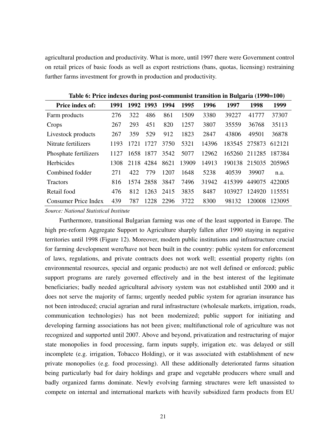agricultural production and productivity. What is more, until 1997 there were Government control on retail prices of basic foods as well as export restrictions (bans, quotas, licensing) restraining further farms investment for growth in production and productivity.

| <b>Price index of:</b>      | 1991 |      | 1992 1993 | 1994 | 1995  | 1996  | 1997   | 1998   | 1999   |
|-----------------------------|------|------|-----------|------|-------|-------|--------|--------|--------|
| Farm products               | 276  | 322  | 486       | 861  | 1509  | 3380  | 39227  | 41777  | 37307  |
| Crops                       | 267  | 293  | 451       | 820  | 1257  | 3807  | 35559  | 36768  | 35113  |
| Livestock products          | 267  | 359  | 529       | 912  | 1823  | 2847  | 43806  | 49501  | 36878  |
| Nitrate fertilizers         | 1193 | 1721 | 1727      | 3750 | 5321  | 14396 | 183545 | 275873 | 612121 |
| Phosphate fertilizers       | 1127 | 1658 | 1877      | 3542 | 5077  | 12962 | 165260 | 211285 | 187384 |
| Herbicides                  | 1308 | 2118 | 4284      | 8621 | 13909 | 14913 | 190138 | 215035 | 205965 |
| Combined fodder             | 271  | 422  | 779       | 1207 | 1648  | 5238  | 40539  | 39907  | n.a.   |
| <b>Tractors</b>             | 816  |      | 1574 2858 | 3847 | 7496  | 31942 | 415399 | 449075 | 422005 |
| Retail food                 | 476  | 812  | 1263      | 2415 | 3835  | 8487  | 103927 | 124920 | 115551 |
| <b>Consumer Price Index</b> | 439  | 787  | 1228      | 2296 | 3722  | 8300  | 98132  | 120008 | 123095 |

**Table 6: Price indexes during post-communist transition in Bulgaria (1990=100)**

*Source: National Statistical Institute*

Furthermore, transitional Bulgarian farming was one of the least supported in Europe. The high pre-reform Aggregate Support to Agriculture sharply fallen after 1990 staying in negative territories until 1998 (Figure 12). Moreover, modern public institutions and infrastructure crucial for farming development were/have not been built in the country: public system for enforcement of laws, regulations, and private contracts does not work well; essential property rights (on environmental resources, special and organic products) are not well defined or enforced; public support programs are rarely governed effectively and in the best interest of the legitimate beneficiaries; badly needed agricultural advisory system was not established until 2000 and it does not serve the majority of farms; urgently needed public system for agrarian insurance has not been introduced; crucial agrarian and rural infrastructure (wholesale markets, irrigation, roads, communication technologies) has not been modernized; public support for initiating and developing farming associations has not been given; multifunctional role of agriculture was not recognized and supported until 2007. Above and beyond, privatization and restructuring of major state monopolies in food processing, farm inputs supply, irrigation etc. was delayed or still incomplete (e.g. irrigation, Tobacco Holding), or it was associated with establishment of new private monopolies (e.g. food processing). All these additionally deteriorated farms situation being particularly bad for dairy holdings and grape and vegetable producers where small and badly organized farms dominate. Newly evolving farming structures were left unassisted to compete on internal and international markets with heavily subsidized farm products from EU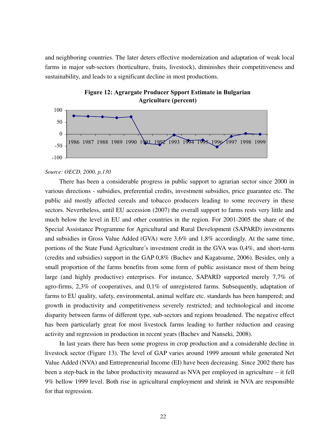and neighboring countries. The later deters effective modernization and adaptation of weak local farms in major sub-sectors (horticulture, fruits, livestock), diminishes their competitiveness and sustainability, and leads to a significant decline in most productions.



**Figure 12: Agrargate Producer Spport Estimate in Bulgarian Agriculture (percent)**

## *Source: OECD, 2000, p.130*

There has been a considerable progress in public support to agrarian sector since 2000 in various directions - subsidies, preferential credits, investment subsidies, price guarantee etc. The public aid mostly affected cereals and tobacco producers leading to some recovery in these sectors. Nevertheless, until EU accession (2007) the overall support to farms rests very little and much below the level in EU and other countries in the region. For 2001-2005 the share of the Special Assistance Programme for Agricultural and Rural Development (SAPARD) investments and subsidies in Gross Value Added (GVA) were 3,6% and 1,8% accordingly. At the same time, portions of the State Fund Agriculture's investment credit in the GVA was 0,4%, and short-term (credits and subsidies) support in the GAP 0,8% (Bachev and Kagatsume, 2006). Besides, only a small proportion of the farms benefits from some form of public assistance most of them being large (and highly productive) enterprises. For instance, SAPARD supported merely 7,7% of agro-firms, 2,3% of cooperatives, and 0,1% of unregistered farms. Subsequently, adaptation of farms to EU quality, safety, environmental, animal welfare etc. standards has been hampered; and growth in productivity and competitiveness severely restricted; and technological and income disparity between farms of different type, sub-sectors and regions broadened. The negative effect has been particularly great for most livestock farms leading to further reduction and ceasing activity and regression in production in recent years (Bachev and Nanseki, 2008).

In last years there has been some progress in crop production and a considerable decline in livestock sector (Figure 13). The level of GAP varies around 1999 amount while generated Net Value Added (NVA) and Entrepreneurial Income (EI) have been decreasing. Since 2002 there has been a step-back in the labor productivity measured as NVA per employed in agriculture – it fell 9% bellow 1999 level. Both rise in agricultural employment and shrink in NVA are responsible for that regression.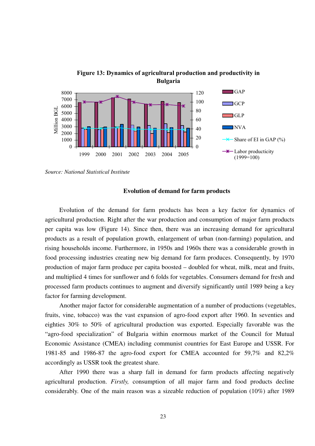

**Figure 13: Dynamics of agricultural production and productivity in** 

*Source: National Statistical Institute*

## **Evolution of demand for farm products**

Evolution of the demand for farm products has been a key factor for dynamics of agricultural production. Right after the war production and consumption of major farm products per capita was low (Figure 14). Since then, there was an increasing demand for agricultural products as a result of population growth, enlargement of urban (non-farming) population, and rising households income. Furthermore, in 1950s and 1960s there was a considerable growth in food processing industries creating new big demand for farm produces. Consequently, by 1970 production of major farm produce per capita boosted – doubled for wheat, milk, meat and fruits, and multiplied 4 times for sunflower and 6 folds for vegetables. Consumers demand for fresh and processed farm products continues to augment and diversify significantly until 1989 being a key factor for farming development.

Another major factor for considerable augmentation of a number of productions (vegetables, fruits, vine, tobacco) was the vast expansion of agro-food export after 1960. In seventies and eighties 30% to 50% of agricultural production was exported. Especially favorable was the "agro-food specialization" of Bulgaria within enormous market of the Council for Mutual Economic Assistance (CMEA) including communist countries for East Europe and USSR. For 1981-85 and 1986-87 the agro-food export for CMEA accounted for 59,7% and 82,2% accordingly as USSR took the greatest share.

After 1990 there was a sharp fall in demand for farm products affecting negatively agricultural production. *Firstly,* consumption of all major farm and food products decline considerably. One of the main reason was a sizeable reduction of population (10%) after 1989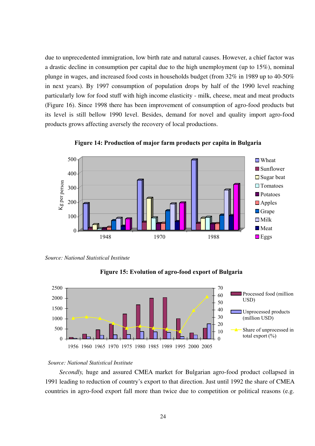due to unprecedented immigration, low birth rate and natural causes. However, a chief factor was a drastic decline in consumption per capital due to the high unemployment (up to 15%), nominal plunge in wages, and increased food costs in households budget (from 32% in 1989 up to 40-50% in next years). By 1997 consumption of population drops by half of the 1990 level reaching particularly low for food stuff with high income elasticity - milk, cheese, meat and meat products (Figure 16). Since 1998 there has been improvement of consumption of agro-food products but its level is still bellow 1990 level. Besides, demand for novel and quality import agro-food products grows affecting aversely the recovery of local productions.





*Source: National Statistical Institute*





## *Source: National Statistical Institute*

*Secondly,* huge and assured CMEA market for Bulgarian agro-food product collapsed in 1991 leading to reduction of country's export to that direction. Just until 1992 the share of CMEA countries in agro-food export fall more than twice due to competition or political reasons (e.g.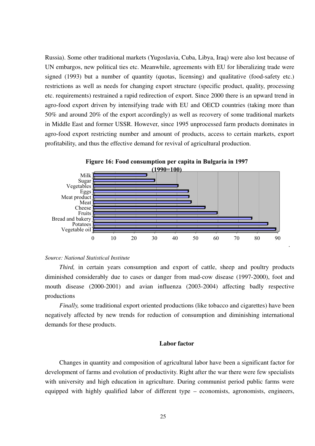Russia). Some other traditional markets (Yugoslavia, Cuba, Libya, Iraq) were also lost because of UN embargos, new political ties etc. Meanwhile, agreements with EU for liberalizing trade were signed (1993) but a number of quantity (quotas, licensing) and qualitative (food-safety etc.) restrictions as well as needs for changing export structure (specific product, quality, processing etc. requirements) restrained a rapid redirection of export. Since 2000 there is an upward trend in agro-food export driven by intensifying trade with EU and OECD countries (taking more than 50% and around 20% of the export accordingly) as well as recovery of some traditional markets in Middle East and former USSR. However, since 1995 unprocessed farm products dominates in agro-food export restricting number and amount of products, access to certain markets, export profitability, and thus the effective demand for revival of agricultural production.



## **Figure 16: Food consumption per capita in Bulgaria in 1997**

## *Source: National Statistical Institute*

*Third*, in certain years consumption and export of cattle, sheep and poultry products diminished considerably due to cases or danger from mad-cow disease (1997-2000), foot and mouth disease (2000-2001) and avian influenza (2003-2004) affecting badly respective productions

.

*Finally,* some traditional export oriented productions (like tobacco and cigarettes) have been negatively affected by new trends for reduction of consumption and diminishing international demands for these products.

## **Labor factor**

Changes in quantity and composition of agricultural labor have been a significant factor for development of farms and evolution of productivity. Right after the war there were few specialists with university and high education in agriculture. During communist period public farms were equipped with highly qualified labor of different type – economists, agronomists, engineers,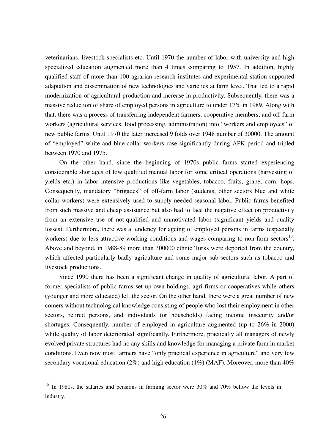veterinarians, livestock specialists etc. Until 1970 the number of labor with university and high specialized education augmented more than 4 times comparing to 1957. In addition, highly qualified staff of more than 100 agrarian research institutes and experimental station supported adaptation and dissemination of new technologies and varieties at farm level. That led to a rapid modernization of agricultural production and increase in productivity. Subsequently, there was a massive reduction of share of employed persons in agriculture to under 17% in 1989. Along with that, there was a process of transferring independent farmers, cooperative members, and off-farm workers (agricultural services, food processing, administration) into "workers and employees" of new public farms. Until 1970 the later increased 9 folds over 1948 number of 30000. The amount of "employed" white and blue-collar workers rose significantly during APK period and tripled between 1970 and 1975.

On the other hand, since the beginning of 1970s public farms started experiencing considerable shortages of low qualified manual labor for some critical operations (harvesting of yields etc.) in labor intensive productions like vegetables, tobacco, fruits, grape, corn, hops. Consequently, mandatory "brigades" of off-farm labor (students, other sectors blue and white collar workers) were extensively used to supply needed seasonal labor. Public farms benefited from such massive and cheap assistance but also had to face the negative effect on productivity from an extensive use of not-qualified and unmotivated labor (significant yields and quality losses). Furthermore, there was a tendency for ageing of employed persons in farms (especially workers) due to less-attractive working conditions and wages comparing to non-farm sectors $^{10}$ . Above and beyond, in 1988-89 more than 300000 ethnic Turks were deported from the country, which affected particularly badly agriculture and some major sub-sectors such as tobacco and livestock productions.

Since 1990 there has been a significant change in quality of agricultural labor. A part of former specialists of public farms set up own holdings, agri-firms or cooperatives while others (younger and more educated) left the sector. On the other hand, there were a great number of new comers without technological knowledge consisting of people who lost their employment in other sectors, retired persons, and individuals (or households) facing income insecurity and/or shortages. Consequently, number of employed in agriculture augmented (up to 26% in 2000) while quality of labor deteriorated significantly. Furthermore, practically all managers of newly evolved private structures had no any skills and knowledge for managing a private farm in market conditions. Even now most farmers have "only practical experience in agriculture" and very few secondary vocational education (2%) and high education (1%) (MAF). Moreover, more than  $40\%$ 

 $10$  In 1980s, the salaries and pensions in farming sector were 30% and 70% bellow the levels in industry.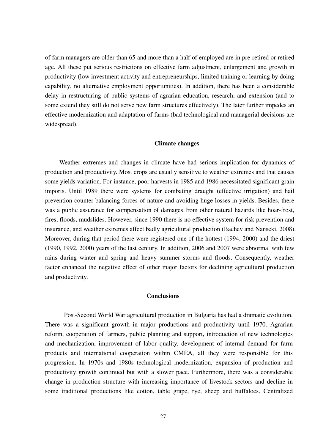of farm managers are older than 65 and more than a half of employed are in pre-retired or retired age. All these put serious restrictions on effective farm adjustment, enlargement and growth in productivity (low investment activity and entrepreneurships, limited training or learning by doing capability, no alternative employment opportunities). In addition, there has been a considerable delay in restructuring of public systems of agrarian education, research, and extension (and to some extend they still do not serve new farm structures effectively). The later further impedes an effective modernization and adaptation of farms (bad technological and managerial decisions are widespread).

## **Climate changes**

Weather extremes and changes in climate have had serious implication for dynamics of production and productivity. Most crops are usually sensitive to weather extremes and that causes some yields variation. For instance, poor harvests in 1985 and 1986 necessitated significant grain imports. Until 1989 there were systems for combating draught (effective irrigation) and hail prevention counter-balancing forces of nature and avoiding huge losses in yields. Besides, there was a public assurance for compensation of damages from other natural hazards like hoar-frost, fires, floods, mudslides. However, since 1990 there is no effective system for risk prevention and insurance, and weather extremes affect badly agricultural production (Bachev and Nanseki, 2008). Moreover, during that period there were registered one of the hottest (1994, 2000) and the driest (1990, 1992, 2000) years of the last century. In addition, 2006 and 2007 were abnormal with few rains during winter and spring and heavy summer storms and floods. Consequently, weather factor enhanced the negative effect of other major factors for declining agricultural production and productivity.

## **Conclusions**

Post-Second World War agricultural production in Bulgaria has had a dramatic evolution. There was a significant growth in major productions and productivity until 1970. Agrarian reform, cooperation of farmers, public planning and support, introduction of new technologies and mechanization, improvement of labor quality, development of internal demand for farm products and international cooperation within CMEA, all they were responsible for this progression. In 1970s and 1980s technological modernization, expansion of production and productivity growth continued but with a slower pace. Furthermore, there was a considerable change in production structure with increasing importance of livestock sectors and decline in some traditional productions like cotton, table grape, rye, sheep and buffaloes. Centralized